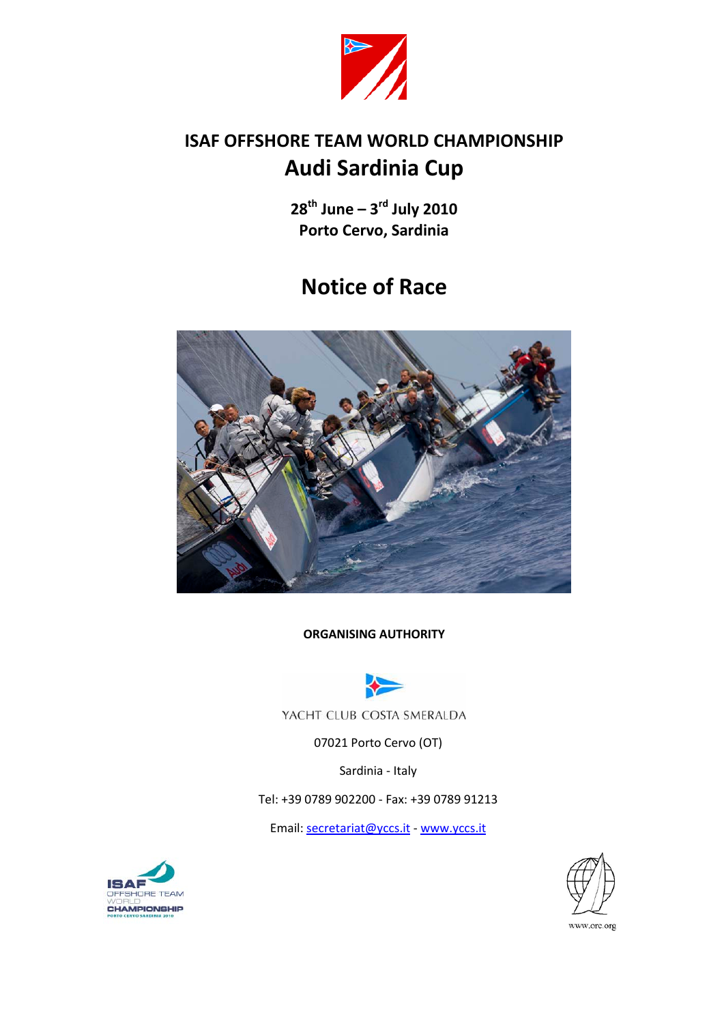

# **ISAF OFFSHORE TEAM WORLD CHAMPIONSHIP Audi Sardinia Cup**

**28th June – 3rd July 2010 Porto Cervo, Sardinia**

# **Notice of Race**



**ORGANISING AUTHORITY**



YACHT CLUB COSTA SMERALDA

07021 Porto Cervo (OT)

Sardinia - Italy

Tel: +39 0789 902200 - Fax: +39 0789 91213

Email: [secretariat@yccs.it](mailto:secretariat@yccs.it) - [www.yccs.it](http://www.yccs.it/)



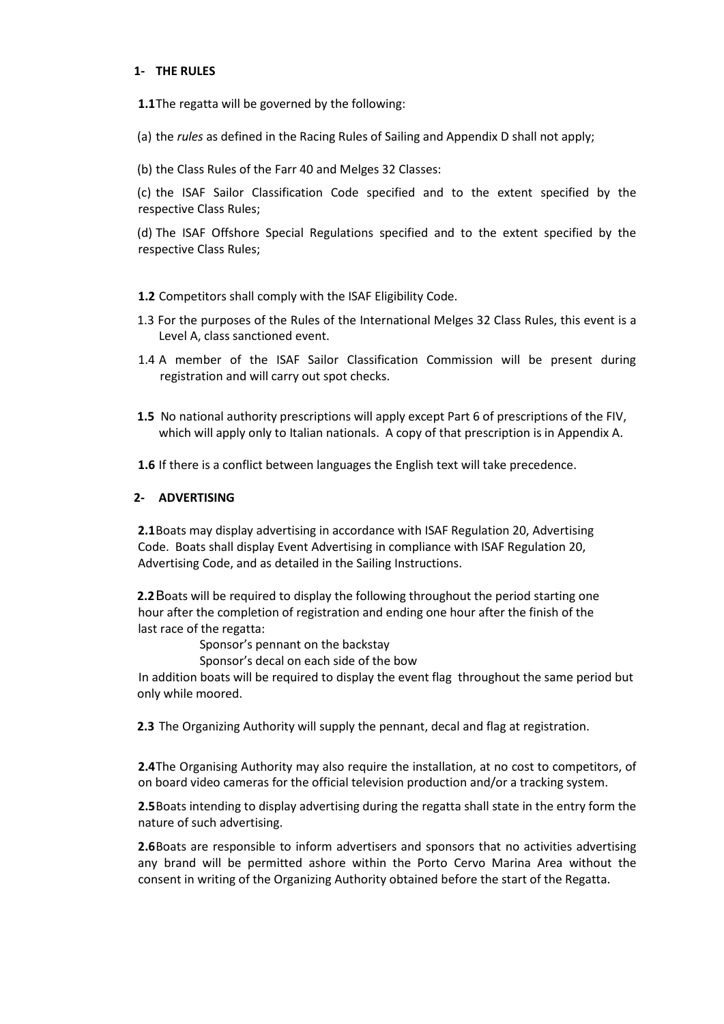## **1- THE RULES**

**1.1**The regatta will be governed by the following:

(a) the *rules* as defined in the Racing Rules of Sailing and Appendix D shall not apply;

(b) the Class Rules of the Farr 40 and Melges 32 Classes:

(c) the ISAF Sailor Classification Code specified and to the extent specified by the respective Class Rules;

(d) The ISAF Offshore Special Regulations specified and to the extent specified by the respective Class Rules;

**1.2** Competitors shall comply with the ISAF Eligibility Code.

- 1.3 For the purposes of the Rules of the International Melges 32 Class Rules, this event is a Level A, class sanctioned event.
- 1.4 A member of the ISAF Sailor Classification Commission will be present during registration and will carry out spot checks.
- **1.5** No national authority prescriptions will apply except Part 6 of prescriptions of the FIV, which will apply only to Italian nationals. A copy of that prescription is in Appendix A.
- **1.6** If there is a conflict between languages the English text will take precedence.

#### **2- ADVERTISING**

**2.1**Boats may display advertising in accordance with ISAF Regulation 20, Advertising Code. Boats shall display Event Advertising in compliance with ISAF Regulation 20, Advertising Code, and as detailed in the Sailing Instructions.

**2.2**Boats will be required to display the following throughout the period starting one hour after the completion of registration and ending one hour after the finish of the last race of the regatta:

Sponsor's pennant on the backstay

Sponsor's decal on each side of the bow

In addition boats will be required to display the event flag throughout the same period but only while moored.

**2.3** The Organizing Authority will supply the pennant, decal and flag at registration.

**2.4**The Organising Authority may also require the installation, at no cost to competitors, of on board video cameras for the official television production and/or a tracking system.

**2.5**Boats intending to display advertising during the regatta shall state in the entry form the nature of such advertising.

**2.6**Boats are responsible to inform advertisers and sponsors that no activities advertising any brand will be permitted ashore within the Porto Cervo Marina Area without the consent in writing of the Organizing Authority obtained before the start of the Regatta.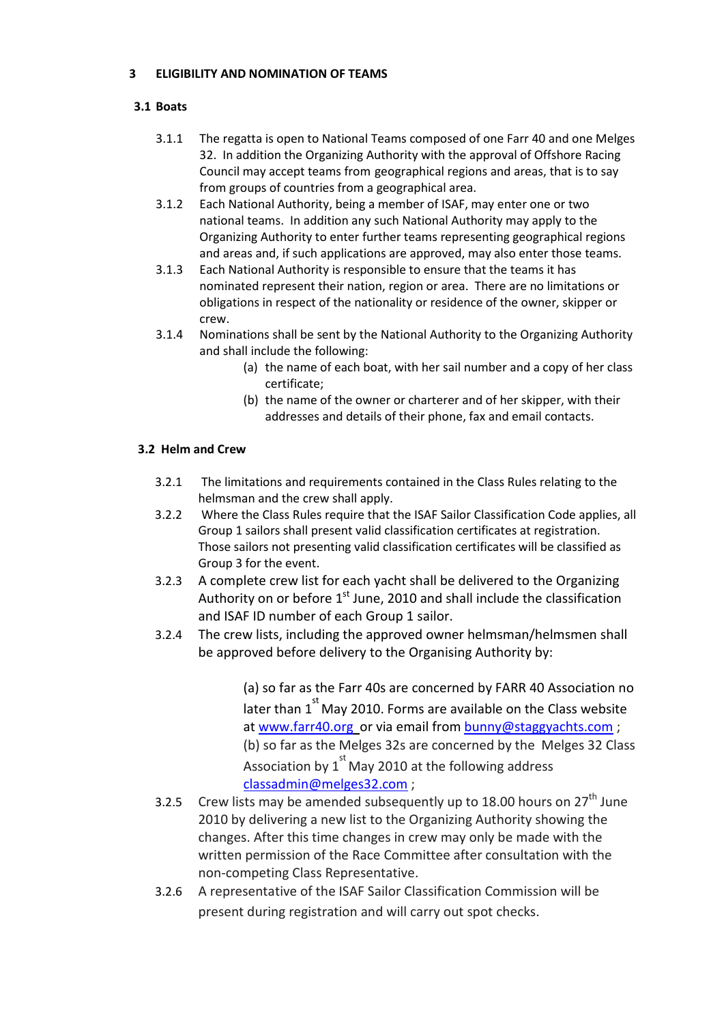## **3 ELIGIBILITY AND NOMINATION OF TEAMS**

## **3.1 Boats**

- 3.1.1 The regatta is open to National Teams composed of one Farr 40 and one Melges 32. In addition the Organizing Authority with the approval of Offshore Racing Council may accept teams from geographical regions and areas, that is to say from groups of countries from a geographical area.
- 3.1.2 Each National Authority, being a member of ISAF, may enter one or two national teams. In addition any such National Authority may apply to the Organizing Authority to enter further teams representing geographical regions and areas and, if such applications are approved, may also enter those teams.
- 3.1.3 Each National Authority is responsible to ensure that the teams it has nominated represent their nation, region or area. There are no limitations or obligations in respect of the nationality or residence of the owner, skipper or crew.
- 3.1.4 Nominations shall be sent by the National Authority to the Organizing Authority and shall include the following:
	- (a) the name of each boat, with her sail number and a copy of her class certificate;
	- (b) the name of the owner or charterer and of her skipper, with their addresses and details of their phone, fax and email contacts.

## **3.2 Helm and Crew**

- 3.2.1 The limitations and requirements contained in the Class Rules relating to the helmsman and the crew shall apply.
- 3.2.2 Where the Class Rules require that the ISAF Sailor Classification Code applies, all Group 1 sailors shall present valid classification certificates at registration. Those sailors not presenting valid classification certificates will be classified as Group 3 for the event.
- 3.2.3 A complete crew list for each yacht shall be delivered to the Organizing Authority on or before  $1<sup>st</sup>$  June, 2010 and shall include the classification and ISAF ID number of each Group 1 sailor.
- 3.2.4 The crew lists, including the approved owner helmsman/helmsmen shall be approved before delivery to the Organising Authority by:

(a) so far as the Farr 40s are concerned by FARR 40 Association no later than  $1^{st}$  May 2010. Forms are available on the Class website at [www.farr40.org](http://www.farr40.org/) or via email from [bunny@staggyachts.com](mailto:bunny@staggyachts.com) ; (b) so far as the Melges 32s are concerned by the Melges 32 Class Association by  $1^{st}$  May 2010 at the following address [classadmin@melges32.com](mailto:classadmin@melges32.com) ;

- 3.2.5 Crew lists may be amended subsequently up to 18.00 hours on  $27<sup>th</sup>$  June 2010 by delivering a new list to the Organizing Authority showing the changes. After this time changes in crew may only be made with the written permission of the Race Committee after consultation with the non-competing Class Representative.
- 3.2.6 A representative of the ISAF Sailor Classification Commission will be present during registration and will carry out spot checks.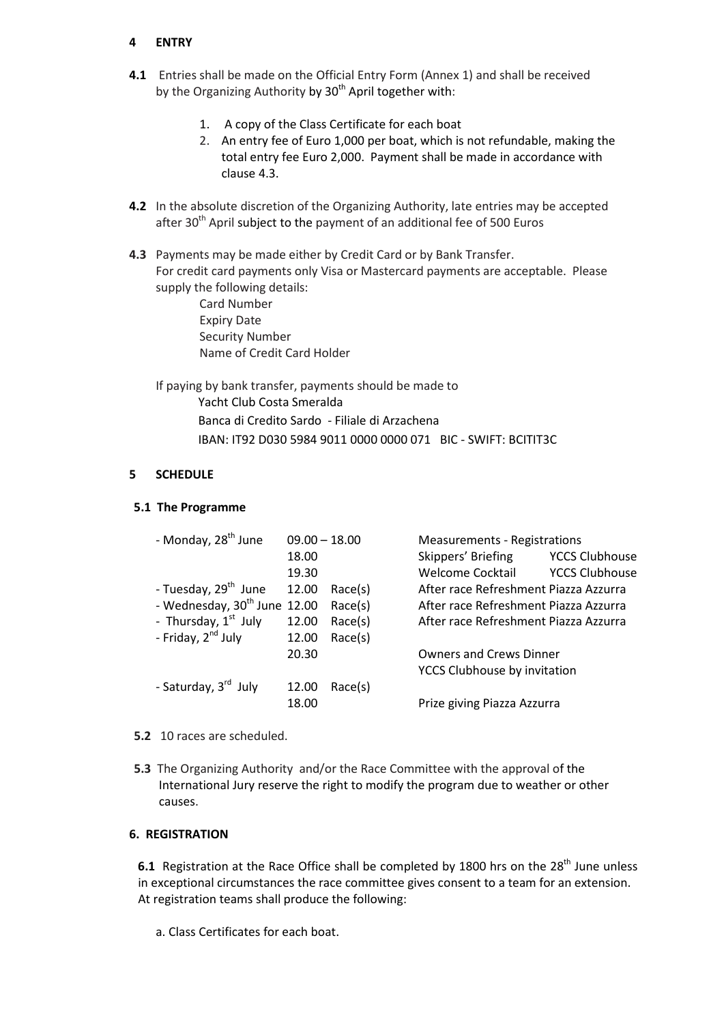## **4 ENTRY**

- **4.1** Entries shall be made on the Official Entry Form (Annex 1) and shall be received by the Organizing Authority by  $30<sup>th</sup>$  April together with:
	- 1. A copy of the Class Certificate for each boat
	- 2. An entry fee of Euro 1,000 per boat, which is not refundable, making the total entry fee Euro 2,000. Payment shall be made in accordance with clause 4.3.
- **4.2** In the absolute discretion of the Organizing Authority, late entries may be accepted after 30<sup>th</sup> April subject to the payment of an additional fee of 500 Euros
- **4.3** Payments may be made either by Credit Card or by Bank Transfer. For credit card payments only Visa or Mastercard payments are acceptable. Please supply the following details:
	- Card Number Expiry Date Security Number Name of Credit Card Holder

If paying by bank transfer, payments should be made to Yacht Club Costa Smeralda Banca di Credito Sardo - Filiale di Arzachena IBAN: IT92 D030 5984 9011 0000 0000 071 BIC - SWIFT: BCITIT3C

## **5 SCHEDULE**

#### **5.1 The Programme**

| - Monday, 28 <sup>th</sup> June          | $09.00 - 18.00$ |         | <b>Measurements - Registrations</b>   |                       |
|------------------------------------------|-----------------|---------|---------------------------------------|-----------------------|
|                                          | 18.00           |         | Skippers' Briefing                    | <b>YCCS Clubhouse</b> |
|                                          | 19.30           |         | <b>Welcome Cocktail</b>               | <b>YCCS Clubhouse</b> |
| - Tuesday, 29 <sup>th</sup> June         | 12.00           | Race(s) | After race Refreshment Piazza Azzurra |                       |
| - Wednesday, 30 <sup>th</sup> June 12.00 |                 | Race(s) | After race Refreshment Piazza Azzurra |                       |
| - Thursday, 1 <sup>st</sup> July         | 12.00           | Race(s) | After race Refreshment Piazza Azzurra |                       |
| - Friday, 2 <sup>nd</sup> July           | 12.00           | Race(s) |                                       |                       |
|                                          | 20.30           |         | <b>Owners and Crews Dinner</b>        |                       |
|                                          |                 |         | <b>YCCS Clubhouse by invitation</b>   |                       |
| - Saturday, 3 <sup>rd</sup> July         | 12.00           | Race(s) |                                       |                       |
|                                          | 18.00           |         | Prize giving Piazza Azzurra           |                       |
|                                          |                 |         |                                       |                       |

- **5.2** 10 races are scheduled.
- **5.3** The Organizing Authority and/or the Race Committee with the approval of the International Jury reserve the right to modify the program due to weather or other causes.

## **6. REGISTRATION**

6.1 Registration at the Race Office shall be completed by 1800 hrs on the 28<sup>th</sup> June unless At registration teams shall produce the following: in exceptional circumstances the race committee gives consent to a team for an extension.

a. Class Certificates for each boat.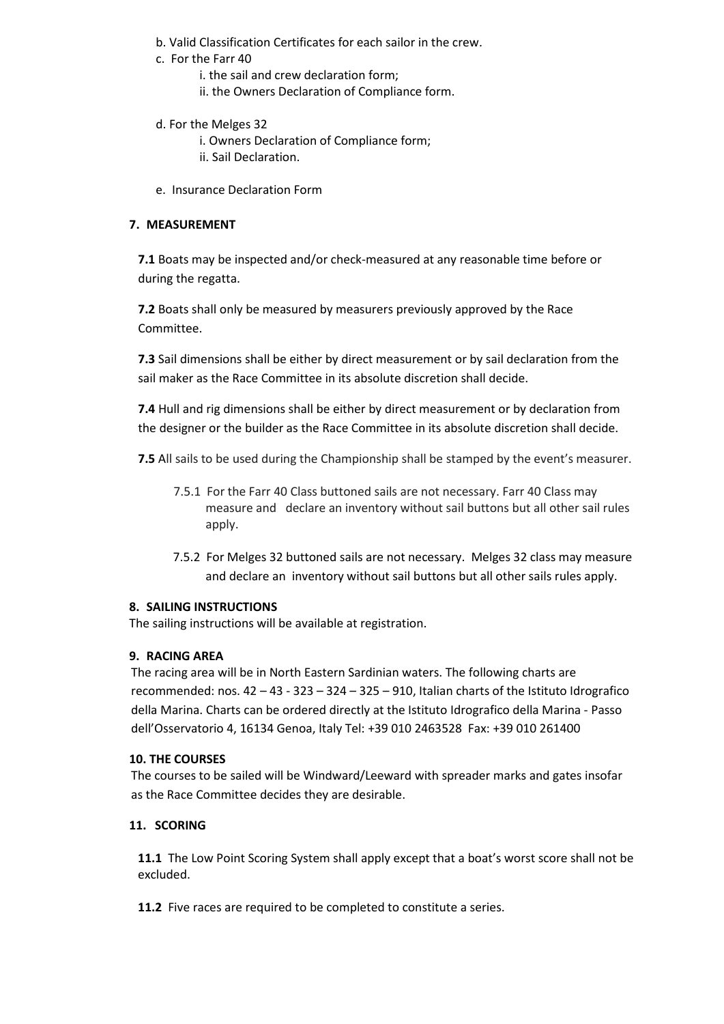- b. Valid Classification Certificates for each sailor in the crew.
- c. For the Farr 40
	- i. the sail and crew declaration form;
	- ii. the Owners Declaration of Compliance form.
- d. For the Melges 32
	- i. Owners Declaration of Compliance form;
	- ii. Sail Declaration.
- e. Insurance Declaration Form

## **7. MEASUREMENT**

**7.1** Boats may be inspected and/or check-measured at any reasonable time before or during the regatta.

**7.2** Boats shall only be measured by measurers previously approved by the Race Committee.

**7.3** Sail dimensions shall be either by direct measurement or by sail declaration from the sail maker as the Race Committee in its absolute discretion shall decide.

**7.4** Hull and rig dimensions shall be either by direct measurement or by declaration from the designer or the builder as the Race Committee in its absolute discretion shall decide.

**7.5** All sails to be used during the Championship shall be stamped by the event's measurer.

- 7.5.1 For the Farr 40 Class buttoned sails are not necessary. Farr 40 Class may measure and declare an inventory without sail buttons but all other sail rules apply.
- 7.5.2 For Melges 32 buttoned sails are not necessary. Melges 32 class may measure and declare an inventory without sail buttons but all other sails rules apply.

## **8. SAILING INSTRUCTIONS**

The sailing instructions will be available at registration.

## **9. RACING AREA**

The racing area will be in North Eastern Sardinian waters. The following charts are recommended: nos. 42 – 43 - 323 – 324 – 325 – 910, Italian charts of the Istituto Idrografico della Marina. Charts can be ordered directly at the Istituto Idrografico della Marina - Passo dell'Osservatorio 4, 16134 Genoa, Italy Tel: +39 010 2463528 Fax: +39 010 261400

## **10. THE COURSES**

The courses to be sailed will be Windward/Leeward with spreader marks and gates insofar as the Race Committee decides they are desirable.

## **11. SCORING**

**11.1** The Low Point Scoring System shall apply except that a boat's worst score shall not be excluded.

**11.2** Five races are required to be completed to constitute a series.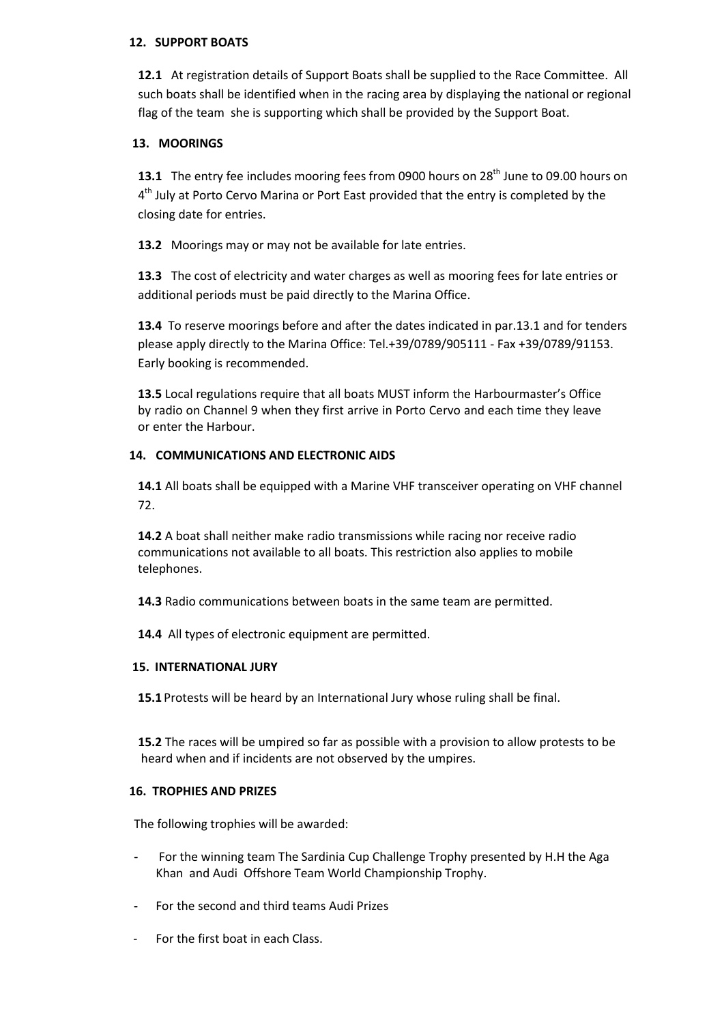## **12. SUPPORT BOATS**

**12.1** At registration details of Support Boats shall be supplied to the Race Committee. All such boats shall be identified when in the racing area by displaying the national or regional flag of the team she is supporting which shall be provided by the Support Boat.

## **13. MOORINGS**

**13.1** The entry fee includes mooring fees from 0900 hours on 28<sup>th</sup> June to 09.00 hours on 4<sup>th</sup> July at Porto Cervo Marina or Port East provided that the entry is completed by the closing date for entries.

**13.2** Moorings may or may not be available for late entries.

**13.3** The cost of electricity and water charges as well as mooring fees for late entries or additional periods must be paid directly to the Marina Office.

**13.4** To reserve moorings before and after the dates indicated in par.13.1 and for tenders please apply directly to the Marina Office: Tel.+39/0789/905111 - Fax +39/0789/91153. Early booking is recommended.

**13.5** Local regulations require that all boats MUST inform the Harbourmaster's Office by radio on Channel 9 when they first arrive in Porto Cervo and each time they leave or enter the Harbour.

## **14. COMMUNICATIONS AND ELECTRONIC AIDS**

**14.1** All boats shall be equipped with a Marine VHF transceiver operating on VHF channel 72.

**14.2** A boat shall neither make radio transmissions while racing nor receive radio communications not available to all boats. This restriction also applies to mobile telephones.

**14.3** Radio communications between boats in the same team are permitted.

**14.4** All types of electronic equipment are permitted.

## **15. INTERNATIONAL JURY**

**15.1** Protests will be heard by an International Jury whose ruling shall be final.

**15.2** The races will be umpired so far as possible with a provision to allow protests to be heard when and if incidents are not observed by the umpires.

## **16. TROPHIES AND PRIZES**

The following trophies will be awarded:

- **-** For the winning team The Sardinia Cup Challenge Trophy presented by H.H the Aga Khan and Audi Offshore Team World Championship Trophy.
- **-** For the second and third teams Audi Prizes
- For the first boat in each Class.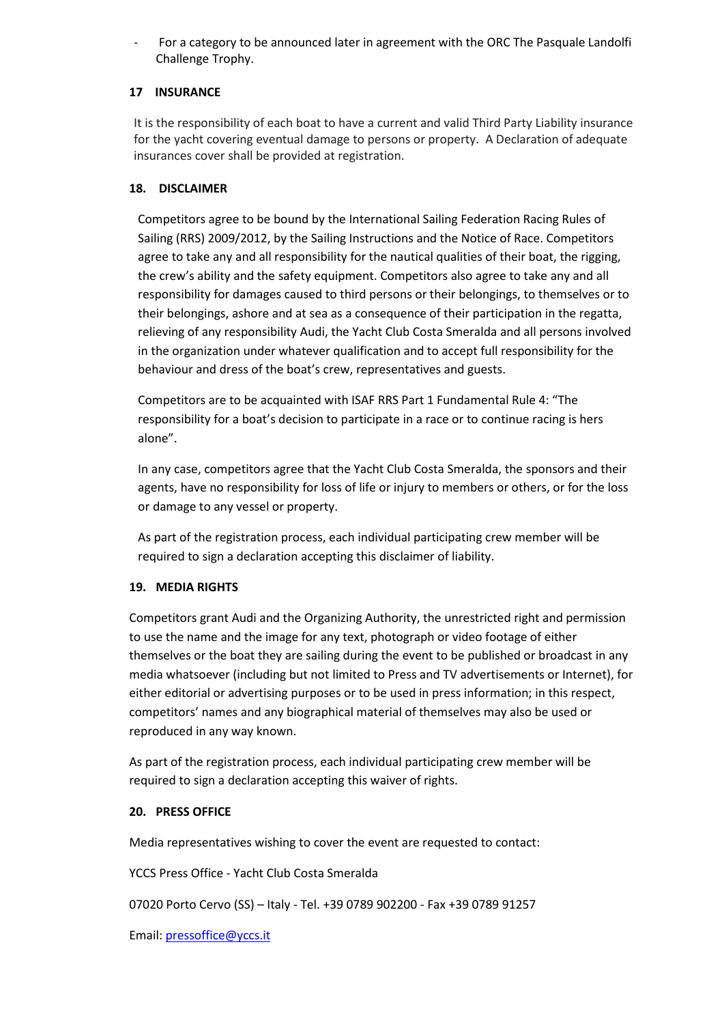For a category to be announced later in agreement with the ORC The Pasquale Landolfi Challenge Trophy.

## **17 INSURANCE**

It is the responsibility of each boat to have a current and valid Third Party Liability insurance for the yacht covering eventual damage to persons or property. A Declaration of adequate insurances cover shall be provided at registration.

## **18. DISCLAIMER**

Competitors agree to be bound by the International Sailing Federation Racing Rules of Sailing (RRS) 2009/2012, by the Sailing Instructions and the Notice of Race. Competitors agree to take any and all responsibility for the nautical qualities of their boat, the rigging, the crew's ability and the safety equipment. Competitors also agree to take any and all responsibility for damages caused to third persons or their belongings, to themselves or to their belongings, ashore and at sea as a consequence of their participation in the regatta, relieving of any responsibility Audi, the Yacht Club Costa Smeralda and all persons involved in the organization under whatever qualification and to accept full responsibility for the behaviour and dress of the boat's crew, representatives and guests.

Competitors are to be acquainted with ISAF RRS Part 1 Fundamental Rule 4: "The responsibility for a boat's decision to participate in a race or to continue racing is hers alone".

In any case, competitors agree that the Yacht Club Costa Smeralda, the sponsors and their agents, have no responsibility for loss of life or injury to members or others, or for the loss or damage to any vessel or property.

As part of the registration process, each individual participating crew member will be required to sign a declaration accepting this disclaimer of liability.

## **19. MEDIA RIGHTS**

Competitors grant Audi and the Organizing Authority, the unrestricted right and permission to use the name and the image for any text, photograph or video footage of either themselves or the boat they are sailing during the event to be published or broadcast in any media whatsoever (including but not limited to Press and TV advertisements or Internet), for either editorial or advertising purposes or to be used in press information; in this respect, competitors' names and any biographical material of themselves may also be used or reproduced in any way known.

As part of the registration process, each individual participating crew member will be required to sign a declaration accepting this waiver of rights.

## **20. PRESS OFFICE**

Media representatives wishing to cover the event are requested to contact:

YCCS Press Office - Yacht Club Costa Smeralda

07020 Porto Cervo (SS) – Italy - Tel. +39 0789 902200 - Fax +39 0789 91257

Email: [pressoffice@yccs.it](mailto:pressoffice@yccs.it)